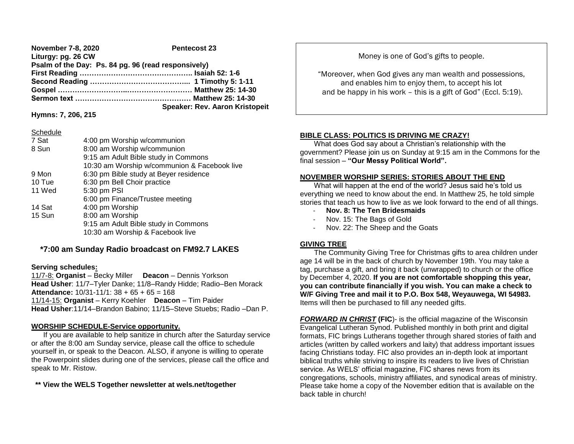**November 7-8, 2020** Pentecost 23 **Liturgy: pg. 26 CW Psalm of the Day: Ps. 84 pg. 96 (read responsively) First Reading ……………………………………….. Isaiah 52: 1-6 Second Reading …………………………………... 1 Timothy 5: 1-11 Gospel ………………………..……………………… Matthew 25: 14-30 Sermon text ………………………………………… Matthew 25: 14-30 Speaker: Rev. Aaron Kristopeit**

**Hymns: 7, 206, 215**

#### Schedule

| 7 Sat  | 4:00 pm Worship w/communion                  |  |  |
|--------|----------------------------------------------|--|--|
| 8 Sun  | 8:00 am Worship w/communion                  |  |  |
|        | 9:15 am Adult Bible study in Commons         |  |  |
|        | 10:30 am Worship w/communion & Facebook live |  |  |
| 9 Mon  | 6:30 pm Bible study at Beyer residence       |  |  |
| 10 Tue | 6:30 pm Bell Choir practice                  |  |  |
| 11 Wed | 5:30 pm PSI                                  |  |  |
|        | 6:00 pm Finance/Trustee meeting              |  |  |
| 14 Sat | 4:00 pm Worship                              |  |  |
| 15 Sun | 8:00 am Worship                              |  |  |
|        | 9:15 am Adult Bible study in Commons         |  |  |
|        | 10:30 am Worship & Facebook live             |  |  |

# **\*7:00 am Sunday Radio broadcast on FM92.7 LAKES**

### **Serving schedules:**

11/7-8: **Organist** – Becky Miller **Deacon** – Dennis Yorkson **Head Usher**: 11/7–Tyler Danke; 11/8–Randy Hidde; Radio–Ben Morack **Attendance:** 10/31-11/1: 38 + 65 + 65 = 168 11/14-15: **Organist** – Kerry Koehler **Deacon** – Tim Paider **Head Usher**:11/14–Brandon Babino; 11/15–Steve Stuebs; Radio –Dan P.

### **WORSHIP SCHEDULE-Service opportunity.**

 If you are available to help sanitize in church after the Saturday service or after the 8:00 am Sunday service, please call the office to schedule yourself in, or speak to the Deacon. ALSO, if anyone is willing to operate the Powerpoint slides during one of the services, please call the office and speak to Mr. Ristow.

**\*\* View the WELS Together newsletter at wels.net/together**

Money is one of God's gifts to people.

"Moreover, when God gives any man wealth and possessions, and enables him to enjoy them, to accept his lot and be happy in his work – this is a gift of God" (Eccl. 5:19).

## **BIBLE CLASS: POLITICS IS DRIVING ME CRAZY!**

 What does God say about a Christian's relationship with the government? Please join us on Sunday at 9:15 am in the Commons for the final session – **"Our Messy Political World".**

## **NOVEMBER WORSHIP SERIES: STORIES ABOUT THE END**

 What will happen at the end of the world? Jesus said he's told us everything we need to know about the end. In Matthew 25, he told simple stories that teach us how to live as we look forward to the end of all things.

- **Nov. 8: The Ten Bridesmaids**
- Nov. 15: The Bags of Gold
- Nov. 22: The Sheep and the Goats

### **GIVING TREE**

 The Community Giving Tree for Christmas gifts to area children under age 14 will be in the back of church by November 19th. You may take a tag, purchase a gift, and bring it back (unwrapped) to church or the office by December 4, 2020. **If you are not comfortable shopping this year, you can contribute financially if you wish. You can make a check to W/F Giving Tree and mail it to P.O. Box 548, Weyauwega, WI 54983.** Items will then be purchased to fill any needed gifts.

*FORWARD IN CHRIST* **(FIC**)- is the official magazine of the Wisconsin Evangelical Lutheran Synod. Published monthly in both print and digital formats, FIC brings Lutherans together through shared stories of faith and articles (written by called workers and laity) that address important issues facing Christians today. FIC also provides an in-depth look at important biblical truths while striving to inspire its readers to live lives of Christian service. As WELS' official magazine, FIC shares news from its congregations, schools, ministry affiliates, and synodical areas of ministry. Please take home a copy of the November edition that is available on the back table in church!